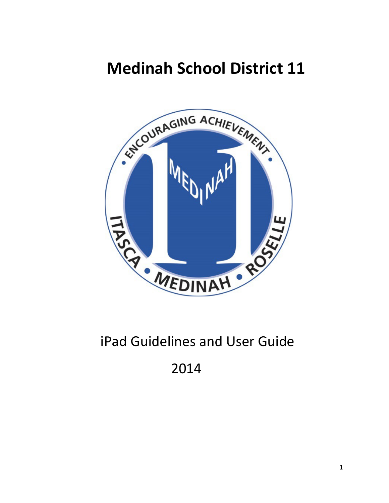# **Medinah School District 11**



## iPad Guidelines and User Guide

## 2014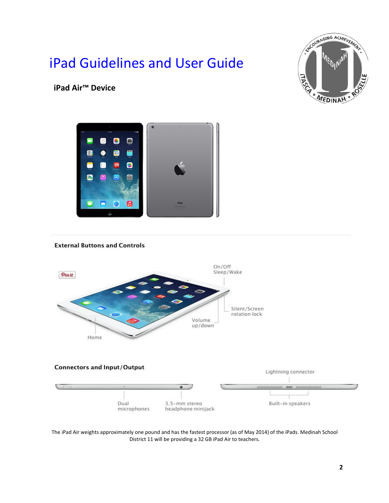## iPad Guidelines and User Guide



**iPad Air™ Device**



#### **External Buttons and Controls**



The iPad Air weights approximately one pound and has the fastest processor (as of May 2014) of the iPads. Medinah School District 11 will be providing a 32 GB iPad Air to teachers.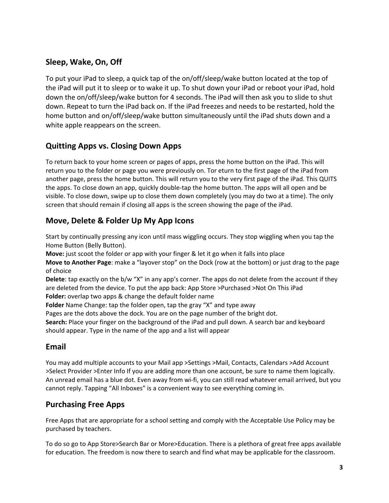## **Sleep, Wake, On, Off**

To put your iPad to sleep, a quick tap of the on/off/sleep/wake button located at the top of the iPad will put it to sleep or to wake it up. To shut down your iPad or reboot your iPad, hold down the on/off/sleep/wake button for 4 seconds. The iPad will then ask you to slide to shut down. Repeat to turn the iPad back on. If the iPad freezes and needs to be restarted, hold the home button and on/off/sleep/wake button simultaneously until the iPad shuts down and a white apple reappears on the screen.

## **Quitting Apps vs. Closing Down Apps**

To return back to your home screen or pages of apps, press the home button on the iPad. This will return you to the folder or page you were previously on. Tor eturn to the first page of the iPad from another page, press the home button. This will return you to the very first page of the iPad. This QUITS the apps. To close down an app, quickly double-tap the home button. The apps will all open and be visible. To close down, swipe up to close them down completely (you may do two at a time). The only screen that should remain if closing all apps is the screen showing the page of the iPad.

#### **Move, Delete & Folder Up My App Icons**

Start by continually pressing any icon until mass wiggling occurs. They stop wiggling when you tap the Home Button (Belly Button).

**Move:** just scoot the folder or app with your finger & let it go when it falls into place

**Move to Another Page**: make a "layover stop" on the Dock (row at the bottom) or just drag to the page of choice

**Delete**: tap exactly on the b/w "X" in any app's corner. The apps do not delete from the account if they are deleted from the device. To put the app back: App Store >Purchased >Not On This iPad **Folder:** overlap two apps & change the default folder name

**Folder** Name Change: tap the folder open, tap the gray "X" and type away

Pages are the dots above the dock. You are on the page number of the bright dot.

**Search:** Place your finger on the background of the iPad and pull down. A search bar and keyboard should appear. Type in the name of the app and a list will appear

### **Email**

You may add multiple accounts to your Mail app >Settings >Mail, Contacts, Calendars >Add Account >Select Provider >Enter Info If you are adding more than one account, be sure to name them logically. An unread email has a blue dot. Even away from wi-fi, you can still read whatever email arrived, but you cannot reply. Tapping "All Inboxes" is a convenient way to see everything coming in.

### **Purchasing Free Apps**

Free Apps that are appropriate for a school setting and comply with the Acceptable Use Policy may be purchased by teachers.

To do so go to App Store>Search Bar or More>Education. There is a plethora of great free apps available for education. The freedom is now there to search and find what may be applicable for the classroom.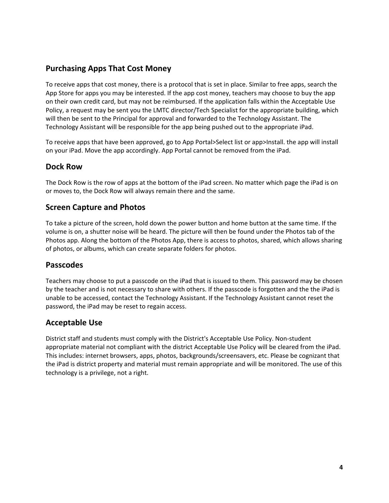#### **Purchasing Apps That Cost Money**

To receive apps that cost money, there is a protocol that is set in place. Similar to free apps, search the App Store for apps you may be interested. If the app cost money, teachers may choose to buy the app on their own credit card, but may not be reimbursed. If the application falls within the Acceptable Use Policy, a request may be sent you the LMTC director/Tech Specialist for the appropriate building, which will then be sent to the Principal for approval and forwarded to the Technology Assistant. The Technology Assistant will be responsible for the app being pushed out to the appropriate iPad.

To receive apps that have been approved, go to App Portal>Select list or app>Install. the app will install on your iPad. Move the app accordingly. App Portal cannot be removed from the iPad.

#### **Dock Row**

The Dock Row is the row of apps at the bottom of the iPad screen. No matter which page the iPad is on or moves to, the Dock Row will always remain there and the same.

#### **Screen Capture and Photos**

To take a picture of the screen, hold down the power button and home button at the same time. If the volume is on, a shutter noise will be heard. The picture will then be found under the Photos tab of the Photos app. Along the bottom of the Photos App, there is access to photos, shared, which allows sharing of photos, or albums, which can create separate folders for photos.

#### **Passcodes**

Teachers may choose to put a passcode on the iPad that is issued to them. This password may be chosen by the teacher and is not necessary to share with others. If the passcode is forgotten and the the iPad is unable to be accessed, contact the Technology Assistant. If the Technology Assistant cannot reset the password, the iPad may be reset to regain access.

#### **Acceptable Use**

District staff and students must comply with the District's Acceptable Use Policy. Non-student appropriate material not compliant with the district Acceptable Use Policy will be cleared from the iPad. This includes: internet browsers, apps, photos, backgrounds/screensavers, etc. Please be cognizant that the iPad is district property and material must remain appropriate and will be monitored. The use of this technology is a privilege, not a right.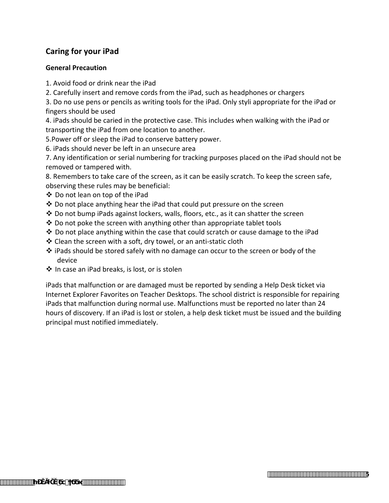### **Caring for your iPad**

#### **General Precaution**

- 1. Avoid food or drink near the iPad
- 2. Carefully insert and remove cords from the iPad, such as headphones or chargers

3. Do no use pens or pencils as writing tools for the iPad. Only styli appropriate for the iPad or fingers should be used

4. iPads should be caried in the protective case. This includes when walking with the iPad or transporting the iPad from one location to another.

- 5.Power off or sleep the iPad to conserve battery power.
- 6. iPads should never be left in an unsecure area

7. Any identification or serial numbering for tracking purposes placed on the iPad should not be removed or tampered with.

8. Remembers to take care of the screen, as it can be easily scratch. To keep the screen safe, observing these rules may be beneficial:

- Do not lean on top of the iPad
- $\cdot$  Do not place anything hear the iPad that could put pressure on the screen
- $\clubsuit$  Do not bump iPads against lockers, walls, floors, etc., as it can shatter the screen
- $\cdot$  Do not poke the screen with anything other than appropriate tablet tools
- $\clubsuit$  Do not place anything within the case that could scratch or cause damage to the iPad
- Clean the screen with a soft, dry towel, or an anti-static cloth
- iPads should be stored safely with no damage can occur to the screen or body of the device
- ❖ In case an iPad breaks, is lost, or is stolen

iPads that malfunction or are damaged must be reported by sending a Help Desk ticket via Internet Explorer Favorites on Teacher Desktops. The school district is responsible for repairing iPads that malfunction during normal use. Malfunctions must be reported no later than 24 hours of discovery. If an iPad is lost or stolen, a help desk ticket must be issued and the building principal must notified immediately.

**5**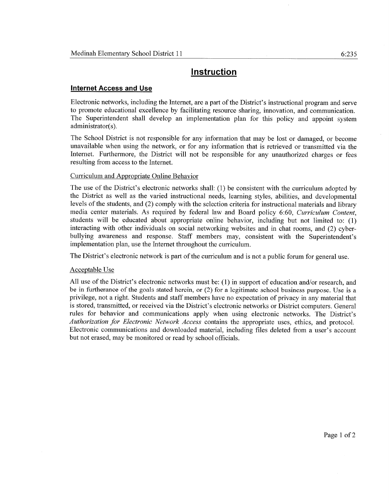## **Instruction**

#### **Internet Access and Use**

Electronic networks, including the Internet, are a part of the District's instructional program and serve to promote educational excellence by facilitating resource sharing, innovation, and communication. The Superintendent shall develop an implementation plan for this policy and appoint system administrator(s).

The School District is not responsible for any information that may be lost or damaged, or become unavailable when using the network, or for any information that is retrieved or transmitted via the Internet. Furthermore, the District will not be responsible for any unauthorized charges or fees resulting from access to the Internet.

#### Curriculum and Appropriate Online Behavior

The use of the District's electronic networks shall: (1) be consistent with the curriculum adopted by the District as well as the varied instructional needs, learning styles, abilities, and developmental levels of the students, and (2) comply with the selection criteria for instructional materials and library media center materials. As required by federal law and Board policy 6:60, Curriculum Content, students will be educated about appropriate online behavior, including but not limited to: (1) interacting with other individuals on social networking websites and in chat rooms, and (2) cyberbullying awareness and response. Staff members may, consistent with the Superintendent's implementation plan, use the Internet throughout the curriculum.

The District's electronic network is part of the curriculum and is not a public forum for general use.

#### Acceptable Use

All use of the District's electronic networks must be: (1) in support of education and/or research, and be in furtherance of the goals stated herein, or (2) for a legitimate school business purpose. Use is a privilege, not a right. Students and staff members have no expectation of privacy in any material that is stored, transmitted, or received via the District's electronic networks or District computers. General rules for behavior and communications apply when using electronic networks. The District's Authorization for Electronic Network Access contains the appropriate uses, ethics, and protocol. Electronic communications and downloaded material, including files deleted from a user's account but not erased, may be monitored or read by school officials.